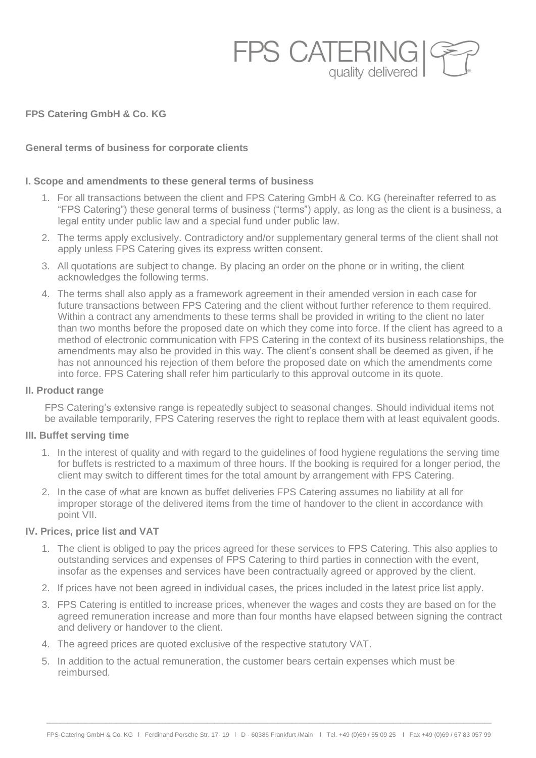

**FPS Catering GmbH & Co. KG**

# **General terms of business for corporate clients**

## **I. Scope and amendments to these general terms of business**

- 1. For all transactions between the client and FPS Catering GmbH & Co. KG (hereinafter referred to as "FPS Catering") these general terms of business ("terms") apply, as long as the client is a business, a legal entity under public law and a special fund under public law.
- 2. The terms apply exclusively. Contradictory and/or supplementary general terms of the client shall not apply unless FPS Catering gives its express written consent.
- 3. All quotations are subject to change. By placing an order on the phone or in writing, the client acknowledges the following terms.
- 4. The terms shall also apply as a framework agreement in their amended version in each case for future transactions between FPS Catering and the client without further reference to them required. Within a contract any amendments to these terms shall be provided in writing to the client no later than two months before the proposed date on which they come into force. If the client has agreed to a method of electronic communication with FPS Catering in the context of its business relationships, the amendments may also be provided in this way. The client's consent shall be deemed as given, if he has not announced his rejection of them before the proposed date on which the amendments come into force. FPS Catering shall refer him particularly to this approval outcome in its quote.

## **II. Product range**

FPS Catering's extensive range is repeatedly subject to seasonal changes. Should individual items not be available temporarily, FPS Catering reserves the right to replace them with at least equivalent goods.

## **III. Buffet serving time**

- 1. In the interest of quality and with regard to the guidelines of food hygiene regulations the serving time for buffets is restricted to a maximum of three hours. If the booking is required for a longer period, the client may switch to different times for the total amount by arrangement with FPS Catering.
- 2. In the case of what are known as buffet deliveries FPS Catering assumes no liability at all for improper storage of the delivered items from the time of handover to the client in accordance with point VII.

# **IV. Prices, price list and VAT**

- 1. The client is obliged to pay the prices agreed for these services to FPS Catering. This also applies to outstanding services and expenses of FPS Catering to third parties in connection with the event, insofar as the expenses and services have been contractually agreed or approved by the client.
- 2. If prices have not been agreed in individual cases, the prices included in the latest price list apply.
- 3. FPS Catering is entitled to increase prices, whenever the wages and costs they are based on for the agreed remuneration increase and more than four months have elapsed between signing the contract and delivery or handover to the client.
- 4. The agreed prices are quoted exclusive of the respective statutory VAT.
- 5. In addition to the actual remuneration, the customer bears certain expenses which must be reimbursed.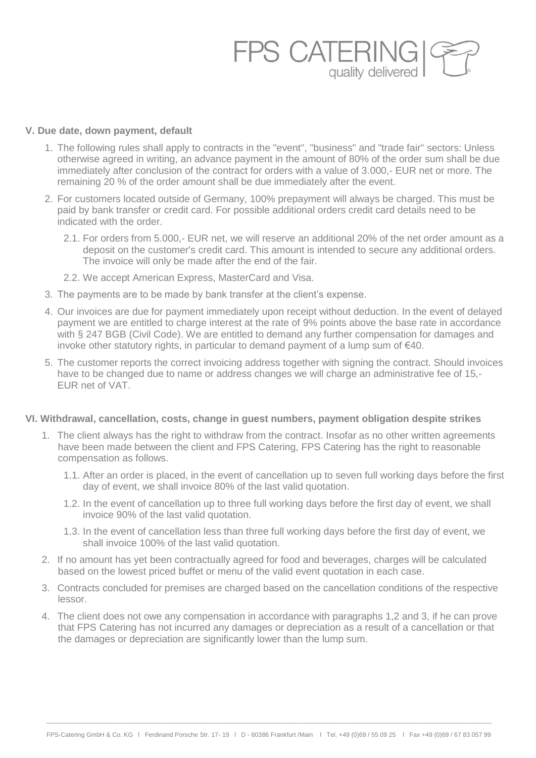

#### **V. Due date, down payment, default**

- 1. The following rules shall apply to contracts in the "event", "business" and "trade fair" sectors: Unless otherwise agreed in writing, an advance payment in the amount of 80% of the order sum shall be due immediately after conclusion of the contract for orders with a value of 3.000,- EUR net or more. The remaining 20 % of the order amount shall be due immediately after the event.
- 2. For customers located outside of Germany, 100% prepayment will always be charged. This must be paid by bank transfer or credit card. For possible additional orders credit card details need to be indicated with the order.
	- 2.1. For orders from 5.000,- EUR net, we will reserve an additional 20% of the net order amount as a deposit on the customer's credit card. This amount is intended to secure any additional orders. The invoice will only be made after the end of the fair.
	- 2.2. We accept American Express, MasterCard and Visa.
- 3. The payments are to be made by bank transfer at the client's expense.
- 4. Our invoices are due for payment immediately upon receipt without deduction. In the event of delayed payment we are entitled to charge interest at the rate of 9% points above the base rate in accordance with § 247 BGB (Civil Code). We are entitled to demand any further compensation for damages and invoke other statutory rights, in particular to demand payment of a lump sum of €40.
- 5. The customer reports the correct invoicing address together with signing the contract. Should invoices have to be changed due to name or address changes we will charge an administrative fee of 15,- EUR net of VAT.

### **VI. Withdrawal, cancellation, costs, change in guest numbers, payment obligation despite strikes**

- 1. The client always has the right to withdraw from the contract. Insofar as no other written agreements have been made between the client and FPS Catering, FPS Catering has the right to reasonable compensation as follows.
	- 1.1. After an order is placed, in the event of cancellation up to seven full working days before the first day of event, we shall invoice 80% of the last valid quotation.
	- 1.2. In the event of cancellation up to three full working days before the first day of event, we shall invoice 90% of the last valid quotation.
	- 1.3. In the event of cancellation less than three full working days before the first day of event, we shall invoice 100% of the last valid quotation.
- 2. If no amount has yet been contractually agreed for food and beverages, charges will be calculated based on the lowest priced buffet or menu of the valid event quotation in each case.
- 3. Contracts concluded for premises are charged based on the cancellation conditions of the respective lessor.
- 4. The client does not owe any compensation in accordance with paragraphs 1,2 and 3, if he can prove that FPS Catering has not incurred any damages or depreciation as a result of a cancellation or that the damages or depreciation are significantly lower than the lump sum.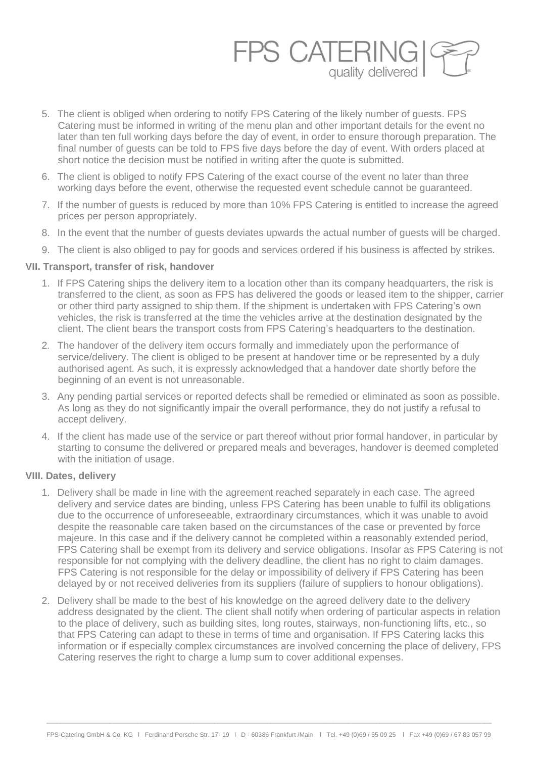

- 5. The client is obliged when ordering to notify FPS Catering of the likely number of guests. FPS Catering must be informed in writing of the menu plan and other important details for the event no later than ten full working days before the day of event, in order to ensure thorough preparation. The final number of guests can be told to FPS five days before the day of event. With orders placed at short notice the decision must be notified in writing after the quote is submitted.
- 6. The client is obliged to notify FPS Catering of the exact course of the event no later than three working days before the event, otherwise the requested event schedule cannot be guaranteed.
- 7. If the number of guests is reduced by more than 10% FPS Catering is entitled to increase the agreed prices per person appropriately.
- 8. In the event that the number of guests deviates upwards the actual number of guests will be charged.
- 9. The client is also obliged to pay for goods and services ordered if his business is affected by strikes.

# **VII. Transport, transfer of risk, handover**

- 1. If FPS Catering ships the delivery item to a location other than its company headquarters, the risk is transferred to the client, as soon as FPS has delivered the goods or leased item to the shipper, carrier or other third party assigned to ship them. If the shipment is undertaken with FPS Catering's own vehicles, the risk is transferred at the time the vehicles arrive at the destination designated by the client. The client bears the transport costs from FPS Catering's headquarters to the destination.
- 2. The handover of the delivery item occurs formally and immediately upon the performance of service/delivery. The client is obliged to be present at handover time or be represented by a duly authorised agent. As such, it is expressly acknowledged that a handover date shortly before the beginning of an event is not unreasonable.
- 3. Any pending partial services or reported defects shall be remedied or eliminated as soon as possible. As long as they do not significantly impair the overall performance, they do not justify a refusal to accept delivery.
- 4. If the client has made use of the service or part thereof without prior formal handover, in particular by starting to consume the delivered or prepared meals and beverages, handover is deemed completed with the initiation of usage.

# **VIII. Dates, delivery**

- 1. Delivery shall be made in line with the agreement reached separately in each case. The agreed delivery and service dates are binding, unless FPS Catering has been unable to fulfil its obligations due to the occurrence of unforeseeable, extraordinary circumstances, which it was unable to avoid despite the reasonable care taken based on the circumstances of the case or prevented by force majeure. In this case and if the delivery cannot be completed within a reasonably extended period, FPS Catering shall be exempt from its delivery and service obligations. Insofar as FPS Catering is not responsible for not complying with the delivery deadline, the client has no right to claim damages. FPS Catering is not responsible for the delay or impossibility of delivery if FPS Catering has been delayed by or not received deliveries from its suppliers (failure of suppliers to honour obligations).
- 2. Delivery shall be made to the best of his knowledge on the agreed delivery date to the delivery address designated by the client. The client shall notify when ordering of particular aspects in relation to the place of delivery, such as building sites, long routes, stairways, non-functioning lifts, etc., so that FPS Catering can adapt to these in terms of time and organisation. If FPS Catering lacks this information or if especially complex circumstances are involved concerning the place of delivery, FPS Catering reserves the right to charge a lump sum to cover additional expenses.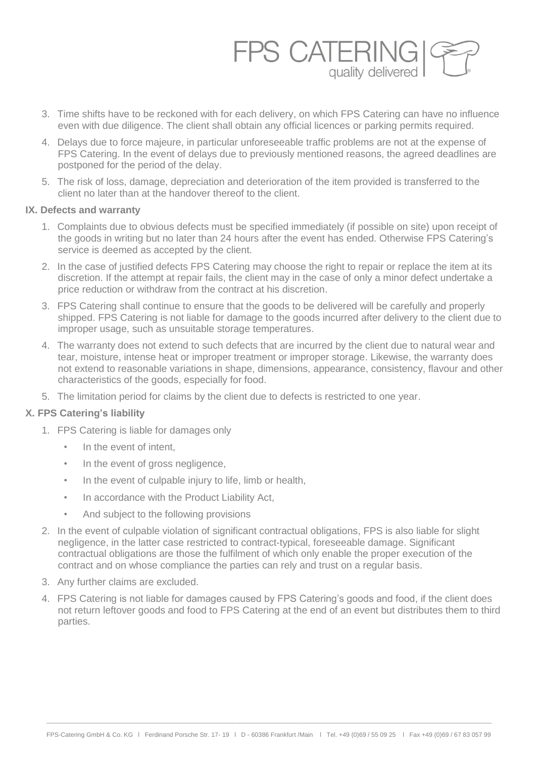

- 3. Time shifts have to be reckoned with for each delivery, on which FPS Catering can have no influence even with due diligence. The client shall obtain any official licences or parking permits required.
- 4. Delays due to force majeure, in particular unforeseeable traffic problems are not at the expense of FPS Catering. In the event of delays due to previously mentioned reasons, the agreed deadlines are postponed for the period of the delay.
- 5. The risk of loss, damage, depreciation and deterioration of the item provided is transferred to the client no later than at the handover thereof to the client.

# **IX. Defects and warranty**

- 1. Complaints due to obvious defects must be specified immediately (if possible on site) upon receipt of the goods in writing but no later than 24 hours after the event has ended. Otherwise FPS Catering's service is deemed as accepted by the client.
- 2. In the case of justified defects FPS Catering may choose the right to repair or replace the item at its discretion. If the attempt at repair fails, the client may in the case of only a minor defect undertake a price reduction or withdraw from the contract at his discretion.
- 3. FPS Catering shall continue to ensure that the goods to be delivered will be carefully and properly shipped. FPS Catering is not liable for damage to the goods incurred after delivery to the client due to improper usage, such as unsuitable storage temperatures.
- 4. The warranty does not extend to such defects that are incurred by the client due to natural wear and tear, moisture, intense heat or improper treatment or improper storage. Likewise, the warranty does not extend to reasonable variations in shape, dimensions, appearance, consistency, flavour and other characteristics of the goods, especially for food.
- 5. The limitation period for claims by the client due to defects is restricted to one year.

# **X. FPS Catering's liability**

- 1. FPS Catering is liable for damages only
	- In the event of intent,
	- In the event of gross negligence,
	- In the event of culpable injury to life, limb or health,
	- In accordance with the Product Liability Act,
	- And subject to the following provisions
- 2. In the event of culpable violation of significant contractual obligations, FPS is also liable for slight negligence, in the latter case restricted to contract-typical, foreseeable damage. Significant contractual obligations are those the fulfilment of which only enable the proper execution of the contract and on whose compliance the parties can rely and trust on a regular basis.
- 3. Any further claims are excluded.
- 4. FPS Catering is not liable for damages caused by FPS Catering's goods and food, if the client does not return leftover goods and food to FPS Catering at the end of an event but distributes them to third parties.